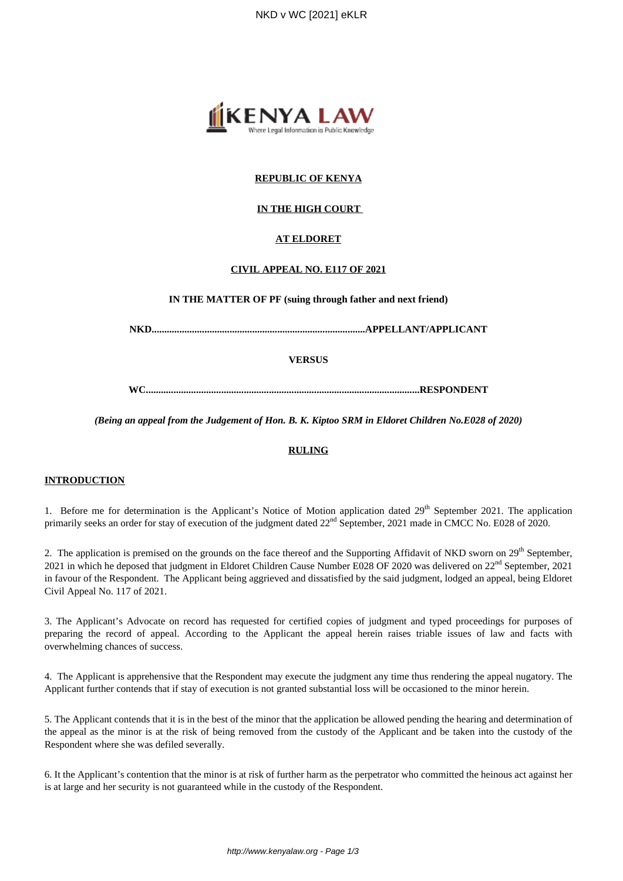

# **REPUBLIC OF KENYA**

## **IN THE HIGH COURT**

### **AT ELDORET**

#### **CIVIL APPEAL NO. E117 OF 2021**

**IN THE MATTER OF PF (suing through father and next friend)**

**NKD.....................................................................................APPELLANT/APPLICANT**

**VERSUS**

**WC.............................................................................................................RESPONDENT**

*(Being an appeal from the Judgement of Hon. B. K. Kiptoo SRM in Eldoret Children No.E028 of 2020)*

#### **RULING**

## **INTRODUCTION**

1. Before me for determination is the Applicant's Notice of Motion application dated  $29<sup>th</sup>$  September 2021. The application primarily seeks an order for stay of execution of the judgment dated 22<sup>nd</sup> September, 2021 made in CMCC No. E028 of 2020.

2. The application is premised on the grounds on the face thereof and the Supporting Affidavit of NKD sworn on 29<sup>th</sup> September, 2021 in which he deposed that judgment in Eldoret Children Cause Number E028 OF 2020 was delivered on 22<sup>nd</sup> September, 2021 in favour of the Respondent. The Applicant being aggrieved and dissatisfied by the said judgment, lodged an appeal, being Eldoret Civil Appeal No. 117 of 2021.

3. The Applicant's Advocate on record has requested for certified copies of judgment and typed proceedings for purposes of preparing the record of appeal. According to the Applicant the appeal herein raises triable issues of law and facts with overwhelming chances of success.

4. The Applicant is apprehensive that the Respondent may execute the judgment any time thus rendering the appeal nugatory. The Applicant further contends that if stay of execution is not granted substantial loss will be occasioned to the minor herein.

5. The Applicant contends that it is in the best of the minor that the application be allowed pending the hearing and determination of the appeal as the minor is at the risk of being removed from the custody of the Applicant and be taken into the custody of the Respondent where she was defiled severally.

6. It the Applicant's contention that the minor is at risk of further harm as the perpetrator who committed the heinous act against her is at large and her security is not guaranteed while in the custody of the Respondent.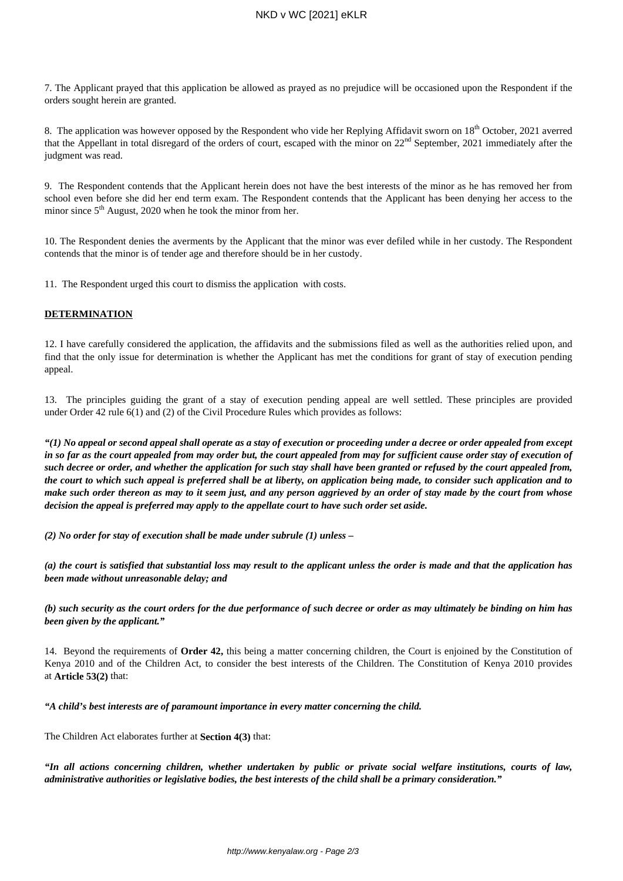7. The Applicant prayed that this application be allowed as prayed as no prejudice will be occasioned upon the Respondent if the orders sought herein are granted.

8. The application was however opposed by the Respondent who vide her Replying Affidavit sworn on 18<sup>th</sup> October, 2021 averred that the Appellant in total disregard of the orders of court, escaped with the minor on  $22<sup>nd</sup>$  September, 2021 immediately after the judgment was read.

9. The Respondent contends that the Applicant herein does not have the best interests of the minor as he has removed her from school even before she did her end term exam. The Respondent contends that the Applicant has been denying her access to the minor since  $5<sup>th</sup>$  August, 2020 when he took the minor from her.

10. The Respondent denies the averments by the Applicant that the minor was ever defiled while in her custody. The Respondent contends that the minor is of tender age and therefore should be in her custody.

11. The Respondent urged this court to dismiss the application with costs.

### **DETERMINATION**

12. I have carefully considered the application, the affidavits and the submissions filed as well as the authorities relied upon, and find that the only issue for determination is whether the Applicant has met the conditions for grant of stay of execution pending appeal.

13. The principles guiding the grant of a stay of execution pending appeal are well settled. These principles are provided under Order 42 rule 6(1) and (2) of the Civil Procedure Rules which provides as follows:

*"(1) No appeal or second appeal shall operate as a stay of execution or proceeding under a decree or order appealed from except in so far as the court appealed from may order but, the court appealed from may for sufficient cause order stay of execution of such decree or order, and whether the application for such stay shall have been granted or refused by the court appealed from, the court to which such appeal is preferred shall be at liberty, on application being made, to consider such application and to make such order thereon as may to it seem just, and any person aggrieved by an order of stay made by the court from whose decision the appeal is preferred may apply to the appellate court to have such order set aside.*

*(2) No order for stay of execution shall be made under subrule (1) unless –*

*(a) the court is satisfied that substantial loss may result to the applicant unless the order is made and that the application has been made without unreasonable delay; and*

*(b) such security as the court orders for the due performance of such decree or order as may ultimately be binding on him has been given by the applicant."*

14. Beyond the requirements of **Order 42,** this being a matter concerning children, the Court is enjoined by the Constitution of Kenya 2010 and of the Children Act, to consider the best interests of the Children. The Constitution of Kenya 2010 provides at **Article 53(2)** that:

*"A child's best interests are of paramount importance in every matter concerning the child.*

The Children Act elaborates further at **Section 4(3)** that:

*"In all actions concerning children, whether undertaken by public or private social welfare institutions, courts of law, administrative authorities or legislative bodies, the best interests of the child shall be a primary consideration."*